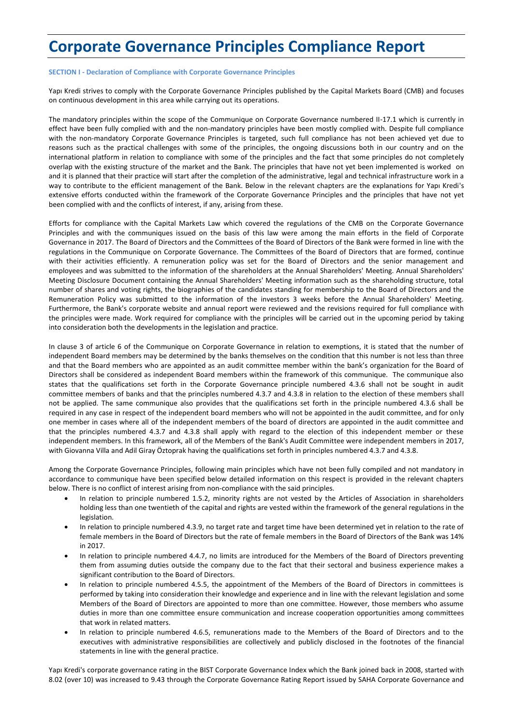# **Corporate Governance Principles Compliance Report**

# **SECTION I - Declaration of Compliance with Corporate Governance Principles**

Yapı Kredi strives to comply with the Corporate Governance Principles published by the Capital Markets Board (CMB) and focuses on continuous development in this area while carrying out its operations.

The mandatory principles within the scope of the Communique on Corporate Governance numbered II-17.1 which is currently in effect have been fully complied with and the non-mandatory principles have been mostly complied with. Despite full compliance with the non-mandatory Corporate Governance Principles is targeted, such full compliance has not been achieved yet due to reasons such as the practical challenges with some of the principles, the ongoing discussions both in our country and on the international platform in relation to compliance with some of the principles and the fact that some principles do not completely overlap with the existing structure of the market and the Bank. The principles that have not yet been implemented is worked on and it is planned that their practice will start after the completion of the administrative, legal and technical infrastructure work in a way to contribute to the efficient management of the Bank. Below in the relevant chapters are the explanations for Yapı Kredi's extensive efforts conducted within the framework of the Corporate Governance Principles and the principles that have not yet been complied with and the conflicts of interest, if any, arising from these.

Efforts for compliance with the Capital Markets Law which covered the regulations of the CMB on the Corporate Governance Principles and with the communiques issued on the basis of this law were among the main efforts in the field of Corporate Governance in 2017. The Board of Directors and the Committees of the Board of Directors of the Bank were formed in line with the regulations in the Communique on Corporate Governance. The Committees of the Board of Directors that are formed, continue with their activities efficiently. A remuneration policy was set for the Board of Directors and the senior management and employees and was submitted to the information of the shareholders at the Annual Shareholders' Meeting. Annual Shareholders' Meeting Disclosure Document containing the Annual Shareholders' Meeting information such as the shareholding structure, total number of shares and voting rights, the biographies of the candidates standing for membership to the Board of Directors and the Remuneration Policy was submitted to the information of the investors 3 weeks before the Annual Shareholders' Meeting. Furthermore, the Bank's corporate website and annual report were reviewed and the revisions required for full compliance with the principles were made. Work required for compliance with the principles will be carried out in the upcoming period by taking into consideration both the developments in the legislation and practice.

In clause 3 of article 6 of the Communique on Corporate Governance in relation to exemptions, it is stated that the number of independent Board members may be determined by the banks themselves on the condition that this number is not less than three and that the Board members who are appointed as an audit committee member within the bank's organization for the Board of Directors shall be considered as independent Board members within the framework of this communique. The communique also states that the qualifications set forth in the Corporate Governance principle numbered 4.3.6 shall not be sought in audit committee members of banks and that the principles numbered 4.3.7 and 4.3.8 in relation to the election of these members shall not be applied. The same communique also provides that the qualifications set forth in the principle numbered 4.3.6 shall be required in any case in respect of the independent board members who will not be appointed in the audit committee, and for only one member in cases where all of the independent members of the board of directors are appointed in the audit committee and that the principles numbered 4.3.7 and 4.3.8 shall apply with regard to the election of this independent member or these independent members. In this framework, all of the Members of the Bank's Audit Committee were independent members in 2017, with Giovanna Villa and Adil Giray Öztoprak having the qualifications set forth in principles numbered 4.3.7 and 4.3.8.

Among the Corporate Governance Principles, following main principles which have not been fully compiled and not mandatory in accordance to communique have been specified below detailed information on this respect is provided in the relevant chapters below. There is no conflict of interest arising from non-compliance with the said principles.

- In relation to principle numbered 1.5.2, minority rights are not vested by the Articles of Association in shareholders holding less than one twentieth of the capital and rights are vested within the framework of the general regulations in the legislation.
- In relation to principle numbered 4.3.9, no target rate and target time have been determined yet in relation to the rate of female members in the Board of Directors but the rate of female members in the Board of Directors of the Bank was 14% in 2017.
- In relation to principle numbered 4.4.7, no limits are introduced for the Members of the Board of Directors preventing them from assuming duties outside the company due to the fact that their sectoral and business experience makes a significant contribution to the Board of Directors.
- In relation to principle numbered 4.5.5, the appointment of the Members of the Board of Directors in committees is performed by taking into consideration their knowledge and experience and in line with the relevant legislation and some Members of the Board of Directors are appointed to more than one committee. However, those members who assume duties in more than one committee ensure communication and increase cooperation opportunities among committees that work in related matters.
- In relation to principle numbered 4.6.5, remunerations made to the Members of the Board of Directors and to the executives with administrative responsibilities are collectively and publicly disclosed in the footnotes of the financial statements in line with the general practice.

Yapı Kredi's corporate governance rating in the BIST Corporate Governance Index which the Bank joined back in 2008, started with 8.02 (over 10) was increased to 9.43 through the Corporate Governance Rating Report issued by SAHA Corporate Governance and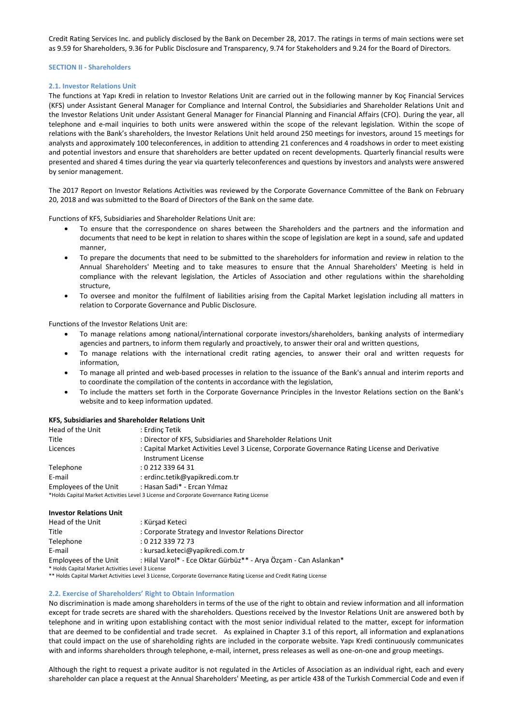Credit Rating Services Inc. and publicly disclosed by the Bank on December 28, 2017. The ratings in terms of main sections were set as 9.59 for Shareholders, 9.36 for Public Disclosure and Transparency, 9.74 for Stakeholders and 9.24 for the Board of Directors.

## **SECTION II - Shareholders**

## **2.1. Investor Relations Unit**

The functions at Yapı Kredi in relation to Investor Relations Unit are carried out in the following manner by Koç Financial Services (KFS) under Assistant General Manager for Compliance and Internal Control, the Subsidiaries and Shareholder Relations Unit and the Investor Relations Unit under Assistant General Manager for Financial Planning and Financial Affairs (CFO). During the year, all telephone and e-mail inquiries to both units were answered within the scope of the relevant legislation. Within the scope of relations with the Bank's shareholders, the Investor Relations Unit held around 250 meetings for investors, around 15 meetings for analysts and approximately 100 teleconferences, in addition to attending 21 conferences and 4 roadshows in order to meet existing and potential investors and ensure that shareholders are better updated on recent developments. Quarterly financial results were presented and shared 4 times during the year via quarterly teleconferences and questions by investors and analysts were answered by senior management.

The 2017 Report on Investor Relations Activities was reviewed by the Corporate Governance Committee of the Bank on February 20, 2018 and was submitted to the Board of Directors of the Bank on the same date.

Functions of KFS, Subsidiaries and Shareholder Relations Unit are:

- To ensure that the correspondence on shares between the Shareholders and the partners and the information and documents that need to be kept in relation to shares within the scope of legislation are kept in a sound, safe and updated manner,
- To prepare the documents that need to be submitted to the shareholders for information and review in relation to the Annual Shareholders' Meeting and to take measures to ensure that the Annual Shareholders' Meeting is held in compliance with the relevant legislation, the Articles of Association and other regulations within the shareholding structure,
- To oversee and monitor the fulfilment of liabilities arising from the Capital Market legislation including all matters in relation to Corporate Governance and Public Disclosure.

Functions of the Investor Relations Unit are:

- To manage relations among national/international corporate investors/shareholders, banking analysts of intermediary agencies and partners, to inform them regularly and proactively, to answer their oral and written questions,
- To manage relations with the international credit rating agencies, to answer their oral and written requests for information,
- To manage all printed and web-based processes in relation to the issuance of the Bank's annual and interim reports and to coordinate the compilation of the contents in accordance with the legislation,
- To include the matters set forth in the Corporate Governance Principles in the Investor Relations section on the Bank's website and to keep information updated.

## **KFS, Subsidiaries and Shareholder Relations Unit**

| Head of the Unit      | : Erdinc Tetik                                                                                                        |
|-----------------------|-----------------------------------------------------------------------------------------------------------------------|
| Title                 | : Director of KFS, Subsidiaries and Shareholder Relations Unit                                                        |
| Licences              | : Capital Market Activities Level 3 License, Corporate Governance Rating License and Derivative<br>Instrument License |
| Telephone             | $: 0.212$ 339 64 31                                                                                                   |
| E-mail                | : erdinc.tetik@yapikredi.com.tr                                                                                       |
| Employees of the Unit | : Hasan Sadi* - Ercan Yılmaz                                                                                          |
|                       | *Holds Capital Market Activities Level 3 License and Corporate Governance Rating License                              |

# **Investor Relations Unit**

| Head of the Unit                                  | : Kürsad Keteci                                                  |
|---------------------------------------------------|------------------------------------------------------------------|
| Title                                             | : Corporate Strategy and Investor Relations Director             |
| Telephone                                         | $: 0$ 212 339 72 73                                              |
| E-mail                                            | : kursad.keteci@yapikredi.com.tr                                 |
| Employees of the Unit                             | : Hilal Varol* - Ece Oktar Gürbüz** - Arya Özçam - Can Aslankan* |
| * Holds Capital Market Activities Level 3 License |                                                                  |

\*\* Holds Capital Market Activities Level 3 License, Corporate Governance Rating License and Credit Rating License

## **2.2. Exercise of Shareholders' Right to Obtain Information**

No discrimination is made among shareholders in terms of the use of the right to obtain and review information and all information except for trade secrets are shared with the shareholders. Questions received by the Investor Relations Unit are answered both by telephone and in writing upon establishing contact with the most senior individual related to the matter, except for information that are deemed to be confidential and trade secret. As explained in Chapter 3.1 of this report, all information and explanations that could impact on the use of shareholding rights are included in the corporate website. Yapı Kredi continuously communicates with and informs shareholders through telephone, e-mail, internet, press releases as well as one-on-one and group meetings.

Although the right to request a private auditor is not regulated in the Articles of Association as an individual right, each and every shareholder can place a request at the Annual Shareholders' Meeting, as per article 438 of the Turkish Commercial Code and even if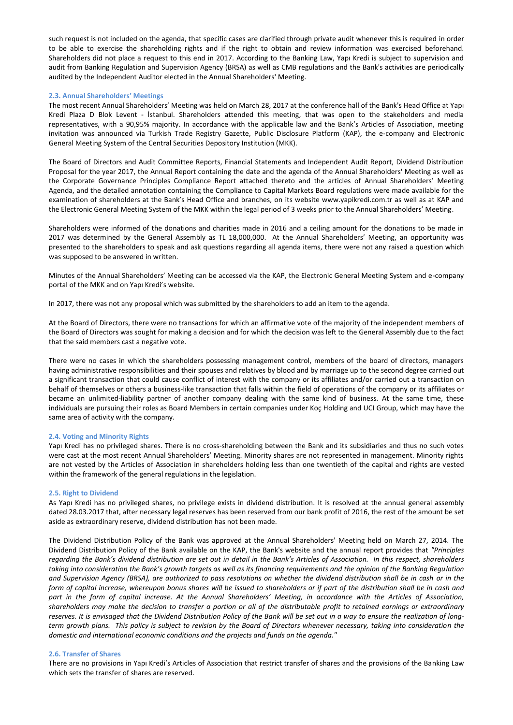such request is not included on the agenda, that specific cases are clarified through private audit whenever this is required in order to be able to exercise the shareholding rights and if the right to obtain and review information was exercised beforehand. Shareholders did not place a request to this end in 2017. According to the Banking Law, Yapı Kredi is subject to supervision and audit from Banking Regulation and Supervision Agency (BRSA) as well as CMB regulations and the Bank's activities are periodically audited by the Independent Auditor elected in the Annual Shareholders' Meeting.

## **2.3. Annual Shareholders' Meetings**

The most recent Annual Shareholders' Meeting was held on March 28, 2017 at the conference hall of the Bank's Head Office at Yapı Kredi Plaza D Blok Levent - İstanbul. Shareholders attended this meeting, that was open to the stakeholders and media representatives, with a 90,95% majority. In accordance with the applicable law and the Bank's Articles of Association, meeting invitation was announced via Turkish Trade Registry Gazette, Public Disclosure Platform (KAP), the e-company and Electronic General Meeting System of the Central Securities Depository Institution (MKK).

The Board of Directors and Audit Committee Reports, Financial Statements and Independent Audit Report, Dividend Distribution Proposal for the year 2017, the Annual Report containing the date and the agenda of the Annual Shareholders' Meeting as well as the Corporate Governance Principles Compliance Report attached thereto and the articles of Annual Shareholders' Meeting Agenda, and the detailed annotation containing the Compliance to Capital Markets Board regulations were made available for the examination of shareholders at the Bank's Head Office and branches, on its website www.yapikredi.com.tr as well as at KAP and the Electronic General Meeting System of the MKK within the legal period of 3 weeks prior to the Annual Shareholders' Meeting.

Shareholders were informed of the donations and charities made in 2016 and a ceiling amount for the donations to be made in 2017 was determined by the General Assembly as TL 18,000,000. At the Annual Shareholders' Meeting, an opportunity was presented to the shareholders to speak and ask questions regarding all agenda items, there were not any raised a question which was supposed to be answered in written.

Minutes of the Annual Shareholders' Meeting can be accessed via the KAP, the Electronic General Meeting System and e-company portal of the MKK and on Yapı Kredi's website.

In 2017, there was not any proposal which was submitted by the shareholders to add an item to the agenda.

At the Board of Directors, there were no transactions for which an affirmative vote of the majority of the independent members of the Board of Directors was sought for making a decision and for which the decision was left to the General Assembly due to the fact that the said members cast a negative vote.

There were no cases in which the shareholders possessing management control, members of the board of directors, managers having administrative responsibilities and their spouses and relatives by blood and by marriage up to the second degree carried out a significant transaction that could cause conflict of interest with the company or its affiliates and/or carried out a transaction on behalf of themselves or others a business-like transaction that falls within the field of operations of the company or its affiliates or became an unlimited-liability partner of another company dealing with the same kind of business. At the same time, these individuals are pursuing their roles as Board Members in certain companies under Koç Holding and UCI Group, which may have the same area of activity with the company.

#### **2.4. Voting and Minority Rights**

Yapı Kredi has no privileged shares. There is no cross-shareholding between the Bank and its subsidiaries and thus no such votes were cast at the most recent Annual Shareholders' Meeting. Minority shares are not represented in management. Minority rights are not vested by the Articles of Association in shareholders holding less than one twentieth of the capital and rights are vested within the framework of the general regulations in the legislation.

## **2.5. Right to Dividend**

As Yapı Kredi has no privileged shares, no privilege exists in dividend distribution. It is resolved at the annual general assembly dated 28.03.2017 that, after necessary legal reserves has been reserved from our bank profit of 2016, the rest of the amount be set aside as extraordinary reserve, dividend distribution has not been made.

The Dividend Distribution Policy of the Bank was approved at the Annual Shareholders' Meeting held on March 27, 2014. The Dividend Distribution Policy of the Bank available on the KAP, the Bank's website and the annual report provides that *"Principles regarding the Bank's dividend distribution are set out in detail in the Bank's Articles of Association. In this respect, shareholders taking into consideration the Bank's growth targets as well as its financing requirements and the opinion of the Banking Regulation and Supervision Agency (BRSA), are authorized to pass resolutions on whether the dividend distribution shall be in cash or in the form of capital increase, whereupon bonus shares will be issued to shareholders or if part of the distribution shall be in cash and part in the form of capital increase. At the Annual Shareholders' Meeting, in accordance with the Articles of Association, shareholders may make the decision to transfer a portion or all of the distributable profit to retained earnings or extraordinary reserves. It is envisaged that the Dividend Distribution Policy of the Bank will be set out in a way to ensure the realization of longterm growth plans. This policy is subject to revision by the Board of Directors whenever necessary, taking into consideration the domestic and international economic conditions and the projects and funds on the agenda."*

## **2.6. Transfer of Shares**

There are no provisions in Yapı Kredi's Articles of Association that restrict transfer of shares and the provisions of the Banking Law which sets the transfer of shares are reserved.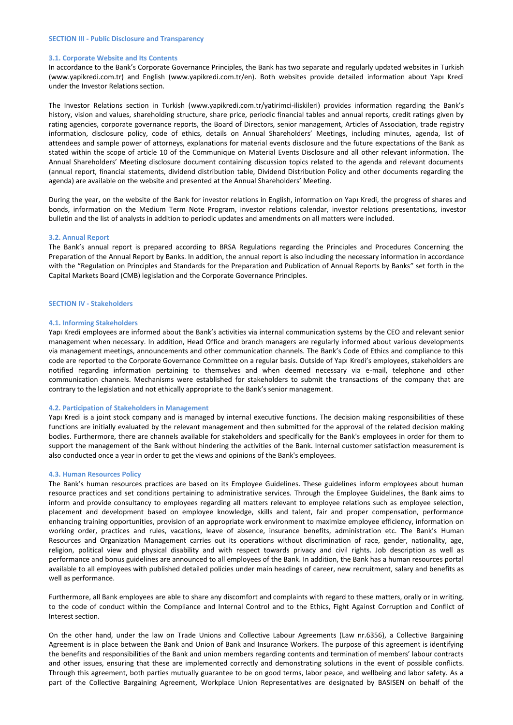#### **3.1. Corporate Website and Its Contents**

In accordance to the Bank's Corporate Governance Principles, the Bank has two separate and regularly updated websites in Turkish (www.yapikredi.com.tr) and English (www.yapikredi.com.tr/en). Both websites provide detailed information about Yapı Kredi under the Investor Relations section.

The Investor Relations section in Turkish (www.yapikredi.com.tr/yatirimci-iliskileri) provides information regarding the Bank's history, vision and values, shareholding structure, share price, periodic financial tables and annual reports, credit ratings given by rating agencies, corporate governance reports, the Board of Directors, senior management, Articles of Association, trade registry information, disclosure policy, code of ethics, details on Annual Shareholders' Meetings, including minutes, agenda, list of attendees and sample power of attorneys, explanations for material events disclosure and the future expectations of the Bank as stated within the scope of article 10 of the Communique on Material Events Disclosure and all other relevant information. The Annual Shareholders' Meeting disclosure document containing discussion topics related to the agenda and relevant documents (annual report, financial statements, dividend distribution table, Dividend Distribution Policy and other documents regarding the agenda) are available on the website and presented at the Annual Shareholders' Meeting.

During the year, on the website of the Bank for investor relations in English, information on Yapı Kredi, the progress of shares and bonds, information on the Medium Term Note Program, investor relations calendar, investor relations presentations, investor bulletin and the list of analysts in addition to periodic updates and amendments on all matters were included.

#### **3.2. Annual Report**

The Bank's annual report is prepared according to BRSA Regulations regarding the Principles and Procedures Concerning the Preparation of the Annual Report by Banks. In addition, the annual report is also including the necessary information in accordance with the "Regulation on Principles and Standards for the Preparation and Publication of Annual Reports by Banks" set forth in the Capital Markets Board (CMB) legislation and the Corporate Governance Principles.

#### **SECTION IV - Stakeholders**

#### **4.1. Informing Stakeholders**

Yapı Kredi employees are informed about the Bank's activities via internal communication systems by the CEO and relevant senior management when necessary. In addition, Head Office and branch managers are regularly informed about various developments via management meetings, announcements and other communication channels. The Bank's Code of Ethics and compliance to this code are reported to the Corporate Governance Committee on a regular basis. Outside of Yapı Kredi's employees, stakeholders are notified regarding information pertaining to themselves and when deemed necessary via e-mail, telephone and other communication channels. Mechanisms were established for stakeholders to submit the transactions of the company that are contrary to the legislation and not ethically appropriate to the Bank's senior management.

## **4.2. Participation of Stakeholders in Management**

Yapı Kredi is a joint stock company and is managed by internal executive functions. The decision making responsibilities of these functions are initially evaluated by the relevant management and then submitted for the approval of the related decision making bodies. Furthermore, there are channels available for stakeholders and specifically for the Bank's employees in order for them to support the management of the Bank without hindering the activities of the Bank. Internal customer satisfaction measurement is also conducted once a year in order to get the views and opinions of the Bank's employees.

## **4.3. Human Resources Policy**

The Bank's human resources practices are based on its Employee Guidelines. These guidelines inform employees about human resource practices and set conditions pertaining to administrative services. Through the Employee Guidelines, the Bank aims to inform and provide consultancy to employees regarding all matters relevant to employee relations such as employee selection, placement and development based on employee knowledge, skills and talent, fair and proper compensation, performance enhancing training opportunities, provision of an appropriate work environment to maximize employee efficiency, information on working order, practices and rules, vacations, leave of absence, insurance benefits, administration etc. The Bank's Human Resources and Organization Management carries out its operations without discrimination of race, gender, nationality, age, religion, political view and physical disability and with respect towards privacy and civil rights. Job description as well as performance and bonus guidelines are announced to all employees of the Bank. In addition, the Bank has a human resources portal available to all employees with published detailed policies under main headings of career, new recruitment, salary and benefits as well as performance.

Furthermore, all Bank employees are able to share any discomfort and complaints with regard to these matters, orally or in writing, to the code of conduct within the Compliance and Internal Control and to the Ethics, Fight Against Corruption and Conflict of Interest section.

On the other hand, under the law on Trade Unions and Collective Labour Agreements (Law nr.6356), a Collective Bargaining Agreement is in place between the Bank and Union of Bank and Insurance Workers. The purpose of this agreement is identifying the benefits and responsibilities of the Bank and union members regarding contents and termination of members' labour contracts and other issues, ensuring that these are implemented correctly and demonstrating solutions in the event of possible conflicts. Through this agreement, both parties mutually guarantee to be on good terms, labor peace, and wellbeing and labor safety. As a part of the Collective Bargaining Agreement, Workplace Union Representatives are designated by BASISEN on behalf of the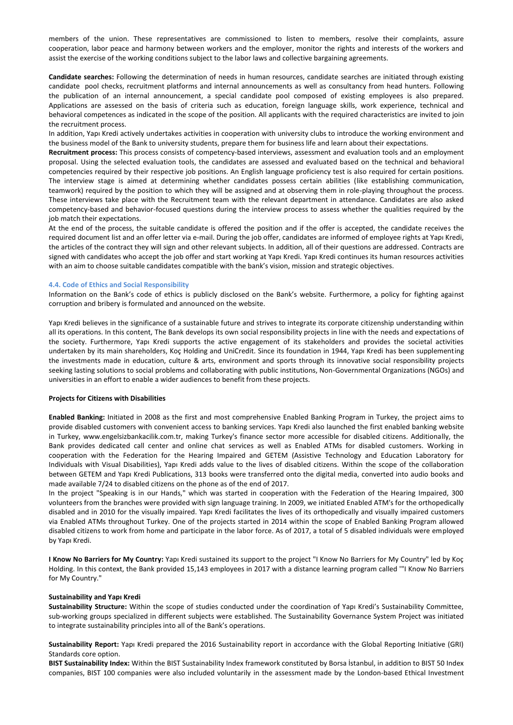members of the union. These representatives are commissioned to listen to members, resolve their complaints, assure cooperation, labor peace and harmony between workers and the employer, monitor the rights and interests of the workers and assist the exercise of the working conditions subject to the labor laws and collective bargaining agreements.

**Candidate searches:** Following the determination of needs in human resources, candidate searches are initiated through existing candidate pool checks, recruitment platforms and internal announcements as well as consultancy from head hunters. Following the publication of an internal announcement, a special candidate pool composed of existing employees is also prepared. Applications are assessed on the basis of criteria such as education, foreign language skills, work experience, technical and behavioral competences as indicated in the scope of the position. All applicants with the required characteristics are invited to join the recruitment process.

In addition, Yapı Kredi actively undertakes activities in cooperation with university clubs to introduce the working environment and the business model of the Bank to university students, prepare them for business life and learn about their expectations.

**Recruitment process:** This process consists of competency-based interviews, assessment and evaluation tools and an employment proposal. Using the selected evaluation tools, the candidates are assessed and evaluated based on the technical and behavioral competencies required by their respective job positions. An English language proficiency test is also required for certain positions. The interview stage is aimed at determining whether candidates possess certain abilities (like establishing communication, teamwork) required by the position to which they will be assigned and at observing them in role-playing throughout the process. These interviews take place with the Recruitment team with the relevant department in attendance. Candidates are also asked competency-based and behavior-focused questions during the interview process to assess whether the qualities required by the job match their expectations.

At the end of the process, the suitable candidate is offered the position and if the offer is accepted, the candidate receives the required document list and an offer letter via e-mail. During the job offer, candidates are informed of employee rights at Yapı Kredi, the articles of the contract they will sign and other relevant subjects. In addition, all of their questions are addressed. Contracts are signed with candidates who accept the job offer and start working at Yapı Kredi. Yapı Kredi continues its human resources activities with an aim to choose suitable candidates compatible with the bank's vision, mission and strategic objectives.

#### **4.4. Code of Ethics and Social Responsibility**

Information on the Bank's code of ethics is publicly disclosed on the Bank's website. Furthermore, a policy for fighting against corruption and bribery is formulated and announced on the website.

Yapı Kredi believes in the significance of a sustainable future and strives to integrate its corporate citizenship understanding within all its operations. In this content, The Bank develops its own social responsibility projects in line with the needs and expectations of the society. Furthermore, Yapı Kredi supports the active engagement of its stakeholders and provides the societal activities undertaken by its main shareholders, Koç Holding and UniCredit. Since its foundation in 1944, Yapı Kredi has been supplementing the investments made in education, culture & arts, environment and sports through its innovative social responsibility projects seeking lasting solutions to social problems and collaborating with public institutions, Non-Governmental Organizations (NGOs) and universities in an effort to enable a wider audiences to benefit from these projects.

#### **Projects for Citizens with Disabilities**

**Enabled Banking:** Initiated in 2008 as the first and most comprehensive Enabled Banking Program in Turkey, the project aims to provide disabled customers with convenient access to banking services. Yapı Kredi also launched the first enabled banking website in Turkey, www.engelsizbankacilik.com.tr, making Turkey's finance sector more accessible for disabled citizens. Additionally, the Bank provides dedicated call center and online chat services as well as Enabled ATMs for disabled customers. Working in cooperation with the Federation for the Hearing Impaired and GETEM (Assistive Technology and Education Laboratory for Individuals with Visual Disabilities), Yapı Kredi adds value to the lives of disabled citizens. Within the scope of the collaboration between GETEM and Yapı Kredi Publications, 313 books were transferred onto the digital media, converted into audio books and made available 7/24 to disabled citizens on the phone as of the end of 2017.

In the project "Speaking is in our Hands," which was started in cooperation with the Federation of the Hearing Impaired, 300 volunteers from the branches were provided with sign language training. In 2009, we initiated Enabled ATM's for the orthopedically disabled and in 2010 for the visually impaired. Yapı Kredi facilitates the lives of its orthopedically and visually impaired customers via Enabled ATMs throughout Turkey. One of the projects started in 2014 within the scope of Enabled Banking Program allowed disabled citizens to work from home and participate in the labor force. As of 2017, a total of 5 disabled individuals were employed by Yapı Kredi.

**I Know No Barriers for My Country:** Yapı Kredi sustained its support to the project "I Know No Barriers for My Country" led by Koç Holding. In this context, the Bank provided 15,143 employees in 2017 with a distance learning program called '"I Know No Barriers for My Country."

# **Sustainability and Yapı Kredi**

**Sustainability Structure:** Within the scope of studies conducted under the coordination of Yapı Kredi's Sustainability Committee, sub-working groups specialized in different subjects were established. The Sustainability Governance System Project was initiated to integrate sustainability principles into all of the Bank's operations.

**Sustainability Report:** Yapı Kredi prepared the 2016 Sustainability report in accordance with the Global Reporting Initiative (GRI) Standards core option.

**BIST Sustainability Index:** Within the BIST Sustainability Index framework constituted by Borsa İstanbul, in addition to BIST 50 Index companies, BIST 100 companies were also included voluntarily in the assessment made by the London-based Ethical Investment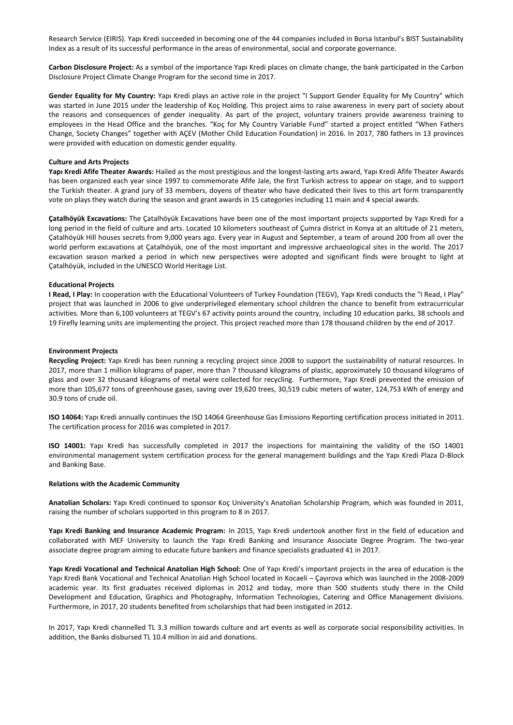Research Service (EIRIS). Yapı Kredi succeeded in becoming one of the 44 companies included in Borsa Istanbul's BIST Sustainability Index as a result of its successful performance in the areas of environmental, social and corporate governance.

**Carbon Disclosure Project:** As a symbol of the importance Yapı Kredi places on climate change, the bank participated in the Carbon Disclosure Project Climate Change Program for the second time in 2017.

**Gender Equality for My Country:** Yapı Kredi plays an active role in the project "I Support Gender Equality for My Country" which was started in June 2015 under the leadership of Koç Holding. This project aims to raise awareness in every part of society about the reasons and consequences of gender inequality. As part of the project, voluntary trainers provide awareness training to employees in the Head Office and the branches. "Koç for My Country Variable Fund" started a project entitled "When Fathers Change, Society Changes" together with AÇEV (Mother Child Education Foundation) in 2016. In 2017, 780 fathers in 13 provinces were provided with education on domestic gender equality.

## **Culture and Arts Projects**

**Yapı Kredi Afife Theater Awards:** Hailed as the most prestigious and the longest-lasting arts award, Yapı Kredi Afife Theater Awards has been organized each year since 1997 to commemorate Afife Jale, the first Turkish actress to appear on stage, and to support the Turkish theater. A grand jury of 33 members, doyens of theater who have dedicated their lives to this art form transparently vote on plays they watch during the season and grant awards in 15 categories including 11 main and 4 special awards.

**Çatalhöyük Excavations:** The Çatalhöyük Excavations have been one of the most important projects supported by Yapı Kredi for a long period in the field of culture and arts. Located 10 kilometers southeast of Çumra district in Konya at an altitude of 21 meters, Çatalhöyük Hill houses secrets from 9,000 years ago. Every year in August and September, a team of around 200 from all over the world perform excavations at Çatalhöyük, one of the most important and impressive archaeological sites in the world. The 2017 excavation season marked a period in which new perspectives were adopted and significant finds were brought to light at Çatalhöyük, included in the UNESCO World Heritage List.

## **Educational Projects**

**I Read, I Play:** In cooperation with the Educational Volunteers of Turkey Foundation (TEGV), Yapı Kredi conducts the "I Read, I Play" project that was launched in 2006 to give underprivileged elementary school children the chance to benefit from extracurricular activities. More than 6,100 volunteers at TEGV's 67 activity points around the country, including 10 education parks, 38 schools and 19 Firefly learning units are implementing the project. This project reached more than 178 thousand children by the end of 2017.

#### **Environment Projects**

**Recycling Project:** Yapı Kredi has been running a recycling project since 2008 to support the sustainability of natural resources. In 2017, more than 1 million kilograms of paper, more than 7 thousand kilograms of plastic, approximately 10 thousand kilograms of glass and over 32 thousand kilograms of metal were collected for recycling. Furthermore, Yapı Kredi prevented the emission of more than 105,677 tons of greenhouse gases, saving over 19,620 trees, 30,519 cubic meters of water, 124,753 kWh of energy and 30.9 tons of crude oil.

**ISO 14064:** Yapı Kredi annually continues the ISO 14064 Greenhouse Gas Emissions Reporting certification process initiated in 2011. The certification process for 2016 was completed in 2017.

**ISO 14001:** Yapı Kredi has successfully completed in 2017 the inspections for maintaining the validity of the ISO 14001 environmental management system certification process for the general management buildings and the Yapı Kredi Plaza D-Block and Banking Base.

# **Relations with the Academic Community**

**Anatolian Scholars:** Yapı Kredi continued to sponsor Koç University's Anatolian Scholarship Program, which was founded in 2011, raising the number of scholars supported in this program to 8 in 2017.

**Yapı Kredi Banking and Insurance Academic Program:** In 2015, Yapı Kredi undertook another first in the field of education and collaborated with MEF University to launch the Yapı Kredi Banking and Insurance Associate Degree Program. The two-year associate degree program aiming to educate future bankers and finance specialists graduated 41 in 2017.

**Yapı Kredi Vocational and Technical Anatolian High School:** One of Yapı Kredi's important projects in the area of education is the Yapı Kredi Bank Vocational and Technical Anatolian High School located in Kocaeli – Çayırova which was launched in the 2008-2009 academic year. Its first graduates received diplomas in 2012 and today, more than 500 students study there in the Child Development and Education, Graphics and Photography, Information Technologies, Catering and Office Management divisions. Furthermore, in 2017, 20 students benefited from scholarships that had been instigated in 2012.

In 2017, Yapı Kredi channelled TL 3.3 million towards culture and art events as well as corporate social responsibility activities. In addition, the Banks disbursed TL 10.4 million in aid and donations.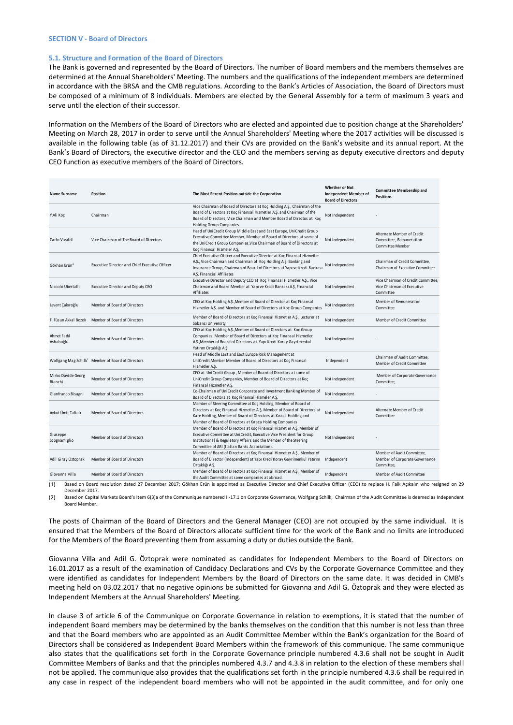#### **SECTION V - Board of Directors**

#### **5.1. Structure and Formation of the Board of Directors**

The Bank is governed and represented by the Board of Directors. The number of Board members and the members themselves are determined at the Annual Shareholders' Meeting. The numbers and the qualifications of the independent members are determined in accordance with the BRSA and the CMB regulations. According to the Bank's Articles of Association, the Board of Directors must be composed of a minimum of 8 individuals. Members are elected by the General Assembly for a term of maximum 3 years and serve until the election of their successor.

Information on the Members of the Board of Directors who are elected and appointed due to position change at the Shareholders' Meeting on March 28, 2017 in order to serve until the Annual Shareholders' Meeting where the 2017 activities will be discussed is available in the following table (as of 31.12.2017) and their CVs are provided on the Bank's website and its annual report. At the Bank's Board of Directors, the executive director and the CEO and the members serving as deputy executive directors and deputy CEO function as executive members of the Board of Directors.

| Name Surname                  | <b>Position</b>                                               | The Most Recent Position outside the Corporation                                                                                                                                                                                                                            | <b>Whether or Not</b><br>Independent Member of<br><b>Board of Directors</b> | Committee Membership and<br><b>Positions</b>                                     |
|-------------------------------|---------------------------------------------------------------|-----------------------------------------------------------------------------------------------------------------------------------------------------------------------------------------------------------------------------------------------------------------------------|-----------------------------------------------------------------------------|----------------------------------------------------------------------------------|
| Y.Ali Koc                     | Chairman                                                      | Vice Chairman of Board of Directors at Koc Holding A.S., Chairman of the<br>Board of Directors at Koç Finansal Hizmetler A.Ş. and Chairman of the<br>Board of Directors, Vice Chairman and Member Board of Directos at Koc<br><b>Holding Group Companies</b>                | Not Independent                                                             |                                                                                  |
| Carlo Vivaldi                 | Vice Chairman of The Board of Directors                       | Head of UniCredit Group Middle East and East Europe, UniCredit Group<br>Executive Committee Member, Member of Board of Directors at some of<br>the UniCredit Group Companies, Vice Chairman of Board of Directors at<br>Koç Finansal Hizmeler A.S,                          | Not Independent                                                             | Alternate Member of Credit<br>Committee, Remuneration<br><b>Committee Member</b> |
| Gökhan Erün <sup>1</sup>      | Executive Director and Chief Executive Officer                | Chief Executive Officer and Executive Director at Koç Finansal Hizmetler<br>A.Ş., Vice Chairman and Chairman of Koç Holding A.Ş. Banking and<br>Insurance Group, Chairman of Board of Directors at Yapı ve Kredi Bankası<br>A.S. Financial Affiliates                       | Not Independent                                                             | Chairman of Credit Committee,<br>Chairman of Executive Committee                 |
| Niccolò Ubertalli             | Executive Director and Deputy CEO                             | Executive Director and Deputy CEO at Koç Finansal Hizmetler A.Ş., Vice<br>Chairman and Board Member at Yapı ve Kredi Bankası A.Ş, Financial<br>Affiliates                                                                                                                   | Not Independent                                                             | Vice Chairman of Credit Committee,<br>Vice Chairman of Executive<br>Committee    |
| Levent Çakıroğlu              | Member of Board of Directors                                  | CEO at Koç Holding A.Ş., Member of Board of Director at Koç Finansal<br>Hizmetler A.Ş. and Member of Board of Directors at Koç Group Companies                                                                                                                              | Not Independent                                                             | Member of Remuneration<br>Committee                                              |
|                               | F. Füsun Akkal Bozok Member of Board of Directors             | Member of Board of Directors at Koç Finansal Hizmetler A.S., Lecturer at<br>Sabancı University                                                                                                                                                                              | Not Independent                                                             | Member of Credit Committee                                                       |
| Ahmet Fadıl<br>Ashaboğlu      | Member of Board of Directors                                  | CFO at Koç Holding A.Ş., Member of Board of Directors at Koç Group<br>Companies, Member of Board of Directors at Koç Finansal Hizmetler<br>A.Ş., Member of Board of Directors at Yapı Kredi Koray Gayrimenkul<br>Yatırım Ortaklığı A.Ş.                                     | Not Independent                                                             |                                                                                  |
|                               | Wolfgang Mag.Schilk <sup>2</sup> Member of Board of Directors | Head of Middle East and East Europe Risk Management at<br>UniCredit, Member Member of Board of Directors at Koç Finansal<br>Hizmetler A.Ş.                                                                                                                                  | Independent                                                                 | Chairman of Audit Committee,<br>Member of Credit Committee                       |
| Mirko Davide Georg<br>Bianchi | Member of Board of Directors                                  | CFO at UniCredit Group, Member of Board of Directors at some of<br>UniCredit Group Companies, Member of Board of Directors at Koç<br>Finansal Hizmetler A.Ş.                                                                                                                | Not Independent                                                             | Member of Corporate Governance<br>Committee,                                     |
| Gianfranco Bisagni            | Member of Board of Directors                                  | Co-Chairman of UniCredit Corporate and Investment Banking Member of<br>Board of Directors at Koç Finansal Hizmeler A.Ş.                                                                                                                                                     | Not Independent                                                             |                                                                                  |
| Aykut Ümit Taftalı            | Member of Board of Directors                                  | Member of Steering Committee at Koç Holding, Member of Board of<br>Directors at Koç Finansal Hizmetler A.Ş, Member of Board of Directors at<br>Kare Holding, Member of Board of Directors at Kıraca Holding and<br>Member of Board of Directors at Kıraca Holding Companies | Not Independent                                                             | Alternate Member of Credit<br>Committee                                          |
| Giuseppe<br>Scognamiglio      | Member of Board of Directors                                  | Member of Board of Directors at Koç Finansal Hizmetler A.S, Member of<br>Executive Committee at UniCredit, Executive Vice President for Group<br>Institutional & Regulatory Affairs and the Member of the Steering<br>Committee of ABI (Italian Banks Association).         | Not Independent                                                             |                                                                                  |
| Adil Giray Öztoprak           | Member of Board of Directors                                  | Member of Board of Directors at Koç Finansal Hizmetler A.Ş., Member of<br>Board of Director (Independent) at Yapı Kredi Koray Gayrimenkul Yatırım<br>Ortaklığı A.Ş.                                                                                                         | Independent                                                                 | Member of Audit Committee,<br>Member of Corporate Governance<br>Committee,       |
| Giovanna Villa                | Member of Board of Directors                                  | Member of Board of Directors at Koç Finansal Hizmetler A.Ş., Member of<br>the Audit Committee at some companies at abroad.                                                                                                                                                  | Independent                                                                 | Member of Audit Committee                                                        |

(1) Based on Board resolution dated 27 December 2017; Gökhan Erün is appointed as Executive Director and Chief Executive Officer (CEO) to replace H. Faik Açıkalın who resigned on 29 December 2017.

(2) Based on Capital Markets Board's Item 6(3)a of the Communique numbered II-17.1 on Corporate Governance, Wolfgang Schilk, Chairman of the Audit Committee is deemed as Independent Board Member.

The posts of Chairman of the Board of Directors and the General Manager (CEO) are not occupied by the same individual. It is ensured that the Members of the Board of Directors allocate sufficient time for the work of the Bank and no limits are introduced for the Members of the Board preventing them from assuming a duty or duties outside the Bank.

Giovanna Villa and Adil G. Öztoprak were nominated as candidates for Independent Members to the Board of Directors on 16.01.2017 as a result of the examination of Candidacy Declarations and CVs by the Corporate Governance Committee and they were identified as candidates for Independent Members by the Board of Directors on the same date. It was decided in CMB's meeting held on 03.02.2017 that no negative opinions be submitted for Giovanna and Adil G. Öztoprak and they were elected as Independent Members at the Annual Shareholders' Meeting.

In clause 3 of article 6 of the Communique on Corporate Governance in relation to exemptions, it is stated that the number of independent Board members may be determined by the banks themselves on the condition that this number is not less than three and that the Board members who are appointed as an Audit Committee Member within the Bank's organization for the Board of Directors shall be considered as Independent Board Members within the framework of this communique. The same communique also states that the qualifications set forth in the Corporate Governance principle numbered 4.3.6 shall not be sought in Audit Committee Members of Banks and that the principles numbered 4.3.7 and 4.3.8 in relation to the election of these members shall not be applied. The communique also provides that the qualifications set forth in the principle numbered 4.3.6 shall be required in any case in respect of the independent board members who will not be appointed in the audit committee, and for only one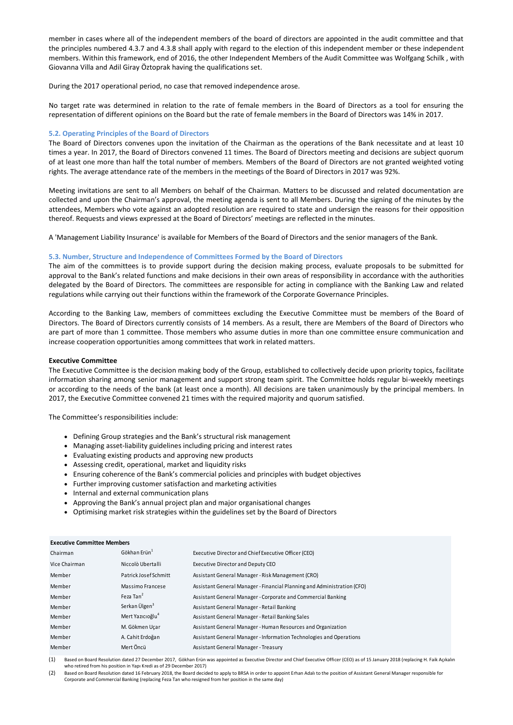member in cases where all of the independent members of the board of directors are appointed in the audit committee and that the principles numbered 4.3.7 and 4.3.8 shall apply with regard to the election of this independent member or these independent members. Within this framework, end of 2016, the other Independent Members of the Audit Committee was Wolfgang Schilk , with Giovanna Villa and Adil Giray Öztoprak having the qualifications set.

During the 2017 operational period, no case that removed independence arose.

No target rate was determined in relation to the rate of female members in the Board of Directors as a tool for ensuring the representation of different opinions on the Board but the rate of female members in the Board of Directors was 14% in 2017.

## **5.2. Operating Principles of the Board of Directors**

The Board of Directors convenes upon the invitation of the Chairman as the operations of the Bank necessitate and at least 10 times a year. In 2017, the Board of Directors convened 11 times. The Board of Directors meeting and decisions are subject quorum of at least one more than half the total number of members. Members of the Board of Directors are not granted weighted voting rights. The average attendance rate of the members in the meetings of the Board of Directors in 2017 was 92%.

Meeting invitations are sent to all Members on behalf of the Chairman. Matters to be discussed and related documentation are collected and upon the Chairman's approval, the meeting agenda is sent to all Members. During the signing of the minutes by the attendees, Members who vote against an adopted resolution are required to state and undersign the reasons for their opposition thereof. Requests and views expressed at the Board of Directors' meetings are reflected in the minutes.

A 'Management Liability Insurance' is available for Members of the Board of Directors and the senior managers of the Bank.

#### **5.3. Number, Structure and Independence of Committees Formed by the Board of Directors**

The aim of the committees is to provide support during the decision making process, evaluate proposals to be submitted for approval to the Bank's related functions and make decisions in their own areas of responsibility in accordance with the authorities delegated by the Board of Directors. The committees are responsible for acting in compliance with the Banking Law and related regulations while carrying out their functions within the framework of the Corporate Governance Principles.

According to the Banking Law, members of committees excluding the Executive Committee must be members of the Board of Directors. The Board of Directors currently consists of 14 members. As a result, there are Members of the Board of Directors who are part of more than 1 committee. Those members who assume duties in more than one committee ensure communication and increase cooperation opportunities among committees that work in related matters.

#### **Executive Committee**

The Executive Committee is the decision making body of the Group, established to collectively decide upon priority topics, facilitate information sharing among senior management and support strong team spirit. The Committee holds regular bi-weekly meetings or according to the needs of the bank (at least once a month). All decisions are taken unanimously by the principal members. In 2017, the Executive Committee convened 21 times with the required majority and quorum satisfied.

The Committee's responsibilities include:

- Defining Group strategies and the Bank's structural risk management
- Managing asset-liability guidelines including pricing and interest rates
- Evaluating existing products and approving new products
- Assessing credit, operational, market and liquidity risks
- Ensuring coherence of the Bank's commercial policies and principles with budget objectives
- Further improving customer satisfaction and marketing activities
- Internal and external communication plans
- Approving the Bank's annual project plan and major organisational changes
- Optimising market risk strategies within the guidelines set by the Board of Directors

|          | LACCULIVE CONNINGE INCHINER |
|----------|-----------------------------|
| Chairman | Gökhan Erün <sup>1</sup>    |

**Executive Committee Members**

| Chairman      | Gökhan Erün*                 | Executive Director and Chief Executive Officer (CEO)                    |
|---------------|------------------------------|-------------------------------------------------------------------------|
| Vice Chairman | Niccolò Ubertalli            | <b>Executive Director and Deputy CEO</b>                                |
| Member        | Patrick Josef Schmitt        | Assistant General Manager - Risk Management (CRO)                       |
| Member        | Massimo Francese             | Assistant General Manager - Financial Planning and Administration (CFO) |
| Member        | Feza Tan <sup>2</sup>        | Assistant General Manager - Corporate and Commercial Banking            |
| Member        | Serkan Ülgen <sup>3</sup>    | Assistant General Manager - Retail Banking                              |
| Member        | Mert Yazıcıoğlu <sup>4</sup> | Assistant General Manager - Retail Banking Sales                        |
| Member        | M. Gökmen Ucar               | Assistant General Manager - Human Resources and Organization            |
| Member        | A. Cahit Erdoğan             | Assistant General Manager - Information Technologies and Operations     |
| Member        | Mert Öncü                    | Assistant General Manager - Treasury                                    |

(1) Based on Board Resolution dated 27 December 2017, Gökhan Erün was appointed as Executive Director and Chief Executive Officer (CEO) as of 15 January 2018 (replacing H. Faik Açıkalın who retired from his position in Yapı Kredi as of 29 December 2017)

(2) Based on Board Resolution dated 16 February 2018, the Board decided to apply to BRSA in order to appoint Erhan Adalı to the position of Assistant General Manager responsible for Corporate and Commercial Banking (replacing Feza Tan who resigned from her position in the same day)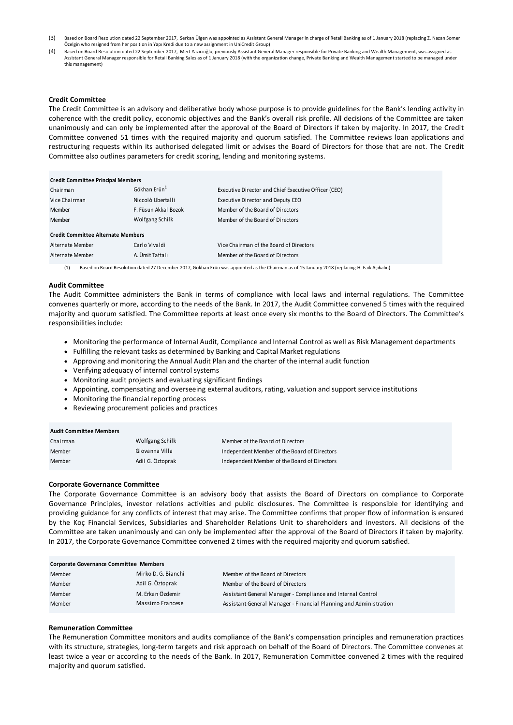- (3) Based on Board Resolution dated 22 September 2017, Serkan Ülgen was appointed as Assistant General Manager in charge of Retail Banking as of 1 January 2018 (replacing Z. Nazan Sor Özelgin who resigned from her position in Yapı Kredi due to a new assignment in UniCredit Group)
- (4) Based on Board Resolution dated 22 September 2017, Mert Yazıcıoğlu, previously Assistant General Manager responsible for Private Banking and Wealth Management, was assigned as Assistant General Manager responsible for Retail Banking Sales as of 1 January 2018 (with the organization change, Private Banking and Wealth Management started to be managed under this management)

# **Credit Committee**

The Credit Committee is an advisory and deliberative body whose purpose is to provide guidelines for the Bank's lending activity in coherence with the credit policy, economic objectives and the Bank's overall risk profile. All decisions of the Committee are taken unanimously and can only be implemented after the approval of the Board of Directors if taken by majority. In 2017, the Credit Committee convened 51 times with the required majority and quorum satisfied. The Committee reviews loan applications and restructuring requests within its authorised delegated limit or advises the Board of Directors for those that are not. The Credit Committee also outlines parameters for credit scoring, lending and monitoring systems.

| <b>Credit Committee Principal Members</b>    |                                                                                                                                                                                                                     |                                                                                                                                                                                                                                                                                                                                                                                                                                                                                                                                                                                                                                                                              |
|----------------------------------------------|---------------------------------------------------------------------------------------------------------------------------------------------------------------------------------------------------------------------|------------------------------------------------------------------------------------------------------------------------------------------------------------------------------------------------------------------------------------------------------------------------------------------------------------------------------------------------------------------------------------------------------------------------------------------------------------------------------------------------------------------------------------------------------------------------------------------------------------------------------------------------------------------------------|
| Chairman                                     | Gökhan Erün <sup>1</sup>                                                                                                                                                                                            | Executive Director and Chief Executive Officer (CEO)                                                                                                                                                                                                                                                                                                                                                                                                                                                                                                                                                                                                                         |
| Vice Chairman                                | Niccolò Ubertalli                                                                                                                                                                                                   | <b>Executive Director and Deputy CEO</b>                                                                                                                                                                                                                                                                                                                                                                                                                                                                                                                                                                                                                                     |
| Member                                       | F. Füsun Akkal Bozok                                                                                                                                                                                                | Member of the Board of Directors                                                                                                                                                                                                                                                                                                                                                                                                                                                                                                                                                                                                                                             |
| Member                                       | Wolfgang Schilk                                                                                                                                                                                                     | Member of the Board of Directors                                                                                                                                                                                                                                                                                                                                                                                                                                                                                                                                                                                                                                             |
| <b>Credit Committee Alternate Members</b>    |                                                                                                                                                                                                                     |                                                                                                                                                                                                                                                                                                                                                                                                                                                                                                                                                                                                                                                                              |
| Alternate Member                             | Carlo Vivaldi                                                                                                                                                                                                       | Vice Chairman of the Board of Directors                                                                                                                                                                                                                                                                                                                                                                                                                                                                                                                                                                                                                                      |
| Alternate Member                             | A. Ümit Taftalı                                                                                                                                                                                                     | Member of the Board of Directors                                                                                                                                                                                                                                                                                                                                                                                                                                                                                                                                                                                                                                             |
| (1)                                          |                                                                                                                                                                                                                     | Based on Board Resolution dated 27 December 2017, Gökhan Erün was appointed as the Chairman as of 15 January 2018 (replacing H. Faik Açıkalın)                                                                                                                                                                                                                                                                                                                                                                                                                                                                                                                               |
| Audit Committee<br>responsibilities include: |                                                                                                                                                                                                                     | The Audit Committee administers the Bank in terms of compliance with local laws and internal regulatio<br>convenes quarterly or more, according to the needs of the Bank. In 2017, the Audit Committee convened 5 time<br>majority and quorum satisfied. The Committee reports at least once every six months to the Board of Director<br>• Monitoring the performance of Internal Audit, Compliance and Internal Control as well as Risk Managem                                                                                                                                                                                                                            |
|                                              | • Verifying adequacy of internal control systems<br>Monitoring audit projects and evaluating significant findings<br>• Monitoring the financial reporting process<br>• Reviewing procurement policies and practices | • Fulfilling the relevant tasks as determined by Banking and Capital Market regulations<br>• Approving and monitoring the Annual Audit Plan and the charter of the internal audit function<br>• Appointing, compensating and overseeing external auditors, rating, valuation and support service institu                                                                                                                                                                                                                                                                                                                                                                     |
| <b>Audit Committee Members</b>               |                                                                                                                                                                                                                     |                                                                                                                                                                                                                                                                                                                                                                                                                                                                                                                                                                                                                                                                              |
| Chairman                                     | Wolfgang Schilk                                                                                                                                                                                                     | Member of the Board of Directors                                                                                                                                                                                                                                                                                                                                                                                                                                                                                                                                                                                                                                             |
| Member<br>Member                             | Giovanna Villa<br>Adil G. Öztoprak                                                                                                                                                                                  | Independent Member of the Board of Directors<br>Independent Member of the Board of Directors                                                                                                                                                                                                                                                                                                                                                                                                                                                                                                                                                                                 |
|                                              |                                                                                                                                                                                                                     |                                                                                                                                                                                                                                                                                                                                                                                                                                                                                                                                                                                                                                                                              |
| <b>Corporate Governance Committee</b>        |                                                                                                                                                                                                                     |                                                                                                                                                                                                                                                                                                                                                                                                                                                                                                                                                                                                                                                                              |
|                                              |                                                                                                                                                                                                                     | The Corporate Governance Committee is an advisory body that assists the Board of Directors on compl<br>Governance Principles, investor relations activities and public disclosures. The Committee is responsible<br>providing guidance for any conflicts of interest that may arise. The Committee confirms that proper flow of inf<br>by the Koç Financial Services, Subsidiaries and Shareholder Relations Unit to shareholders and investors.<br>Committee are taken unanimously and can only be implemented after the approval of the Board of Directors i<br>In 2017, the Corporate Governance Committee convened 2 times with the required majority and quorum satisfi |
| Corporate Governance Committee Members       |                                                                                                                                                                                                                     |                                                                                                                                                                                                                                                                                                                                                                                                                                                                                                                                                                                                                                                                              |
| Member                                       | Mirko D. G. Bianchi                                                                                                                                                                                                 | Member of the Board of Directors                                                                                                                                                                                                                                                                                                                                                                                                                                                                                                                                                                                                                                             |
| Member                                       | Adil G. Öztoprak                                                                                                                                                                                                    | Member of the Board of Directors                                                                                                                                                                                                                                                                                                                                                                                                                                                                                                                                                                                                                                             |
| Member                                       | M. Erkan Özdemir                                                                                                                                                                                                    | Assistant General Manager - Compliance and Internal Control                                                                                                                                                                                                                                                                                                                                                                                                                                                                                                                                                                                                                  |
| Member                                       | Massimo Francese                                                                                                                                                                                                    | Assistant General Manager - Financial Planning and Administration                                                                                                                                                                                                                                                                                                                                                                                                                                                                                                                                                                                                            |
| <b>Remuneration Committee</b>                |                                                                                                                                                                                                                     | The Remuneration Committee monitors and audits compliance of the Bank's compensation principles and rem<br>with its structure, strategies, long-term targets and risk approach on behalf of the Board of Directors. The Con                                                                                                                                                                                                                                                                                                                                                                                                                                                  |
| majority and quorum satisfied.               |                                                                                                                                                                                                                     | least twice a year or according to the needs of the Bank. In 2017, Remuneration Committee convened 2 time                                                                                                                                                                                                                                                                                                                                                                                                                                                                                                                                                                    |

#### **Audit Committee**

The Audit Committee administers the Bank in terms of compliance with local laws and internal regulations. The Committee convenes quarterly or more, according to the needs of the Bank. In 2017, the Audit Committee convened 5 times with the required majority and quorum satisfied. The Committee reports at least once every six months to the Board of Directors. The Committee's responsibilities include:

- Monitoring the performance of Internal Audit, Compliance and Internal Control as well as Risk Management departments
- Fulfilling the relevant tasks as determined by Banking and Capital Market regulations
- Approving and monitoring the Annual Audit Plan and the charter of the internal audit function
- Verifying adequacy of internal control systems
- Monitoring audit projects and evaluating significant findings
- Appointing, compensating and overseeing external auditors, rating, valuation and support service institutions
- Monitoring the financial reporting process
- Reviewing procurement policies and practices

#### **Audit Committee Members**

| Chairman | Wolfgang Schilk  | Member of the Board of Directors             |
|----------|------------------|----------------------------------------------|
| Member   | Giovanna Villa   | Independent Member of the Board of Directors |
| Member   | Adil G. Öztoprak | Independent Member of the Board of Directors |

#### **Corporate Governance Committee**

The Corporate Governance Committee is an advisory body that assists the Board of Directors on compliance to Corporate Governance Principles, investor relations activities and public disclosures. The Committee is responsible for identifying and providing guidance for any conflicts of interest that may arise. The Committee confirms that proper flow of information is ensured by the Koç Financial Services, Subsidiaries and Shareholder Relations Unit to shareholders and investors. All decisions of the Committee are taken unanimously and can only be implemented after the approval of the Board of Directors if taken by majority. In 2017, the Corporate Governance Committee convened 2 times with the required majority and quorum satisfied.

| <b>Corporate Governance Committee Members</b> |                     |                                                                   |  |
|-----------------------------------------------|---------------------|-------------------------------------------------------------------|--|
| Member                                        | Mirko D. G. Bianchi | Member of the Board of Directors                                  |  |
| Member                                        | Adil G. Öztoprak    | Member of the Board of Directors                                  |  |
| Member                                        | M. Erkan Özdemir    | Assistant General Manager - Compliance and Internal Control       |  |
| Member                                        | Massimo Francese    | Assistant General Manager - Financial Planning and Administration |  |

#### **Remuneration Committee**

The Remuneration Committee monitors and audits compliance of the Bank's compensation principles and remuneration practices with its structure, strategies, long-term targets and risk approach on behalf of the Board of Directors. The Committee convenes at least twice a year or according to the needs of the Bank. In 2017, Remuneration Committee convened 2 times with the required majority and quorum satisfied.